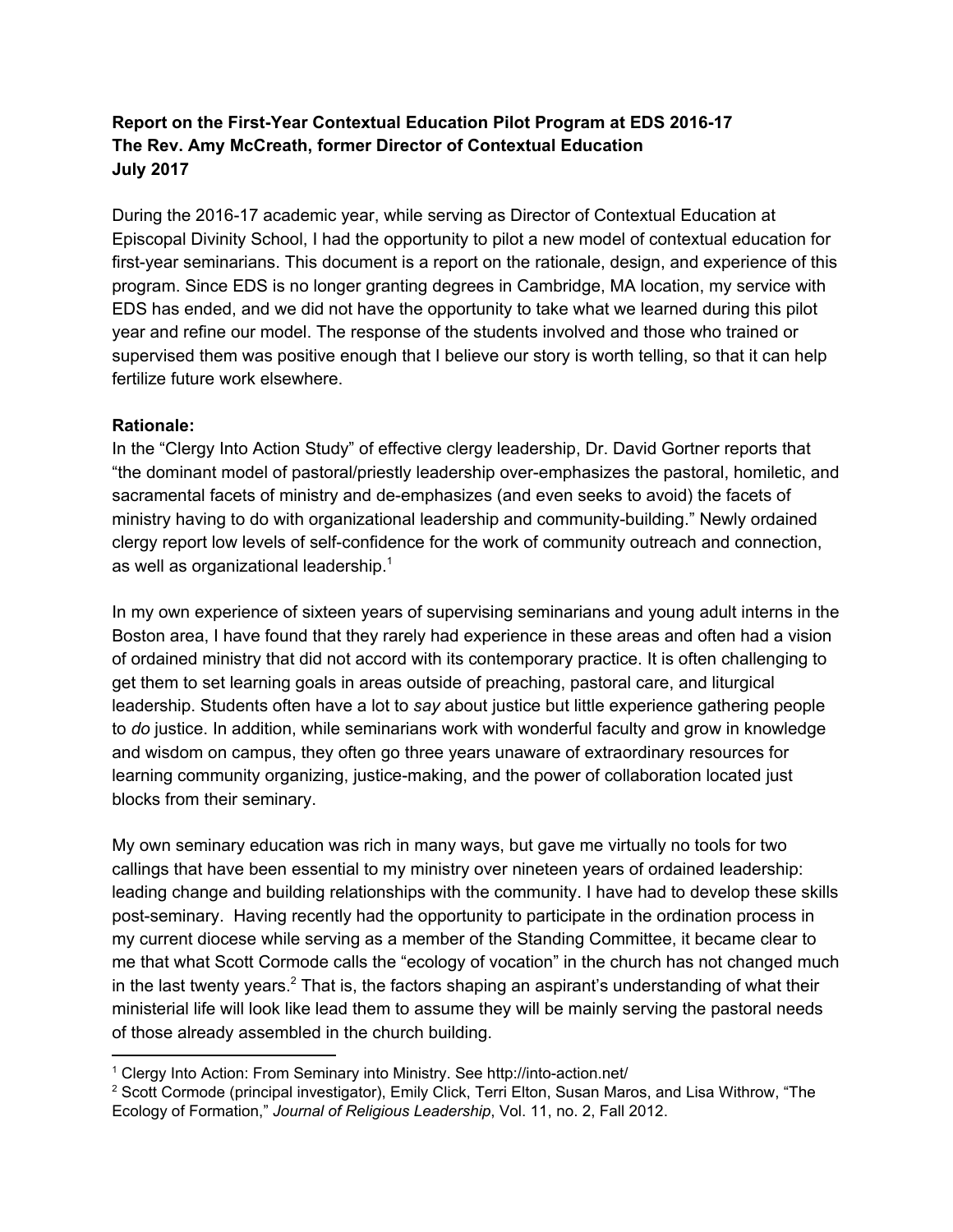# **Report on the First-Year Contextual Education Pilot Program at EDS 2016-17 The Rev. Amy McCreath, former Director of Contextual Education July 2017**

During the 2016-17 academic year, while serving as Director of Contextual Education at Episcopal Divinity School, I had the opportunity to pilot a new model of contextual education for first-year seminarians. This document is a report on the rationale, design, and experience of this program. Since EDS is no longer granting degrees in Cambridge, MA location, my service with EDS has ended, and we did not have the opportunity to take what we learned during this pilot year and refine our model. The response of the students involved and those who trained or supervised them was positive enough that I believe our story is worth telling, so that it can help fertilize future work elsewhere.

#### **Rationale:**

In the "Clergy Into Action Study" of effective clergy leadership, Dr. David Gortner reports that "the dominant model of pastoral/priestly leadership over-emphasizes the pastoral, homiletic, and sacramental facets of ministry and de-emphasizes (and even seeks to avoid) the facets of ministry having to do with organizational leadership and community-building." Newly ordained clergy report low levels of self-confidence for the work of community outreach and connection, as well as organizational leadership. $1$ 

In my own experience of sixteen years of supervising seminarians and young adult interns in the Boston area, I have found that they rarely had experience in these areas and often had a vision of ordained ministry that did not accord with its contemporary practice. It is often challenging to get them to set learning goals in areas outside of preaching, pastoral care, and liturgical leadership. Students often have a lot to *say* about justice but little experience gathering people to *do* justice. In addition, while seminarians work with wonderful faculty and grow in knowledge and wisdom on campus, they often go three years unaware of extraordinary resources for learning community organizing, justice-making, and the power of collaboration located just blocks from their seminary.

My own seminary education was rich in many ways, but gave me virtually no tools for two callings that have been essential to my ministry over nineteen years of ordained leadership: leading change and building relationships with the community. I have had to develop these skills post-seminary. Having recently had the opportunity to participate in the ordination process in my current diocese while serving as a member of the Standing Committee, it became clear to me that what Scott Cormode calls the "ecology of vocation" in the church has not changed much in the last twenty years.<sup>2</sup> That is, the factors shaping an aspirant's understanding of what their ministerial life will look like lead them to assume they will be mainly serving the pastoral needs of those already assembled in the church building.

<sup>1</sup> Clergy Into Action: From Seminary into Ministry. See http://into-action.net/

<sup>&</sup>lt;sup>2</sup> Scott Cormode (principal investigator), Emily Click, Terri Elton, Susan Maros, and Lisa Withrow, "The Ecology of Formation," *Journal of Religious Leadership*, Vol. 11, no. 2, Fall 2012.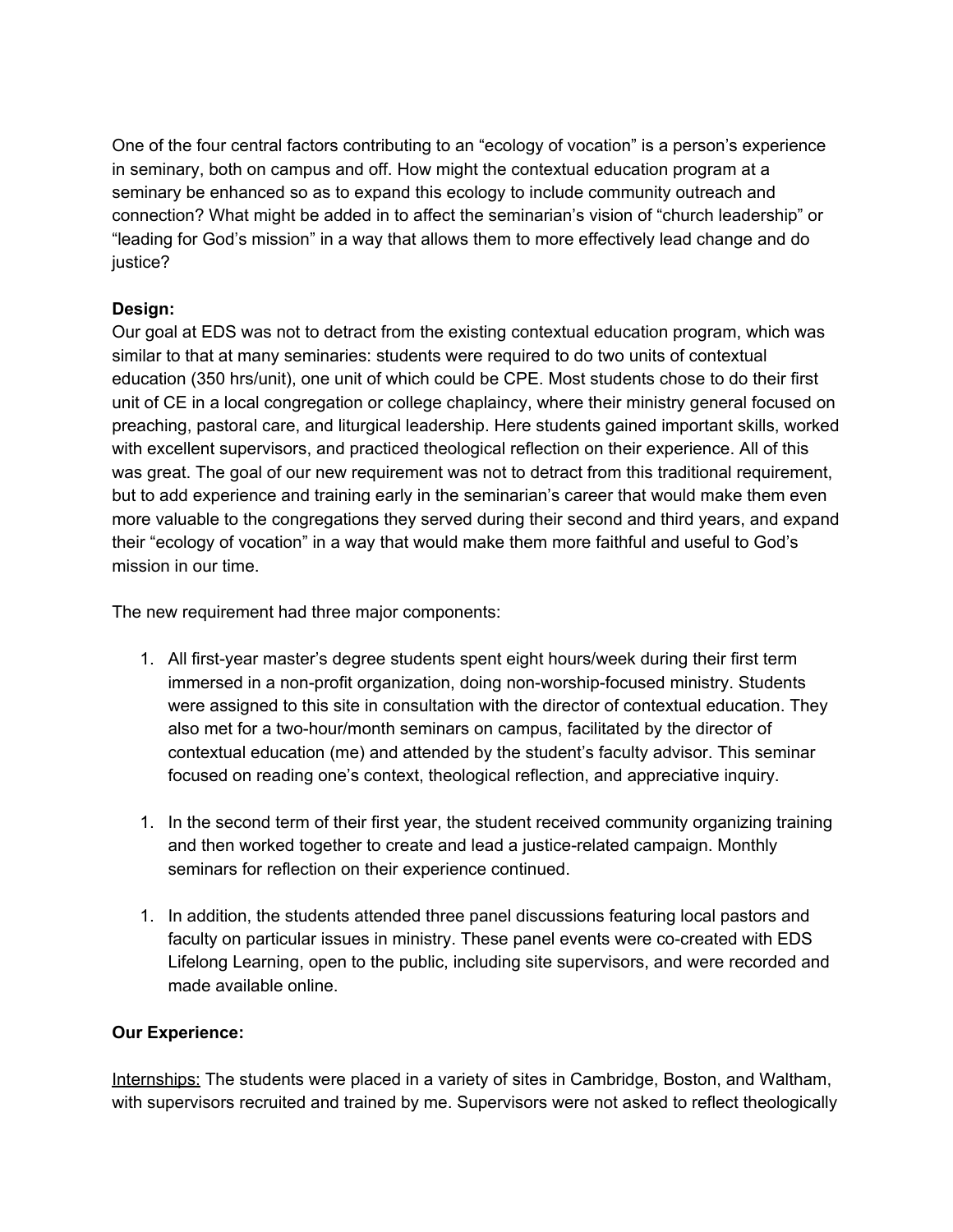One of the four central factors contributing to an "ecology of vocation" is a person's experience in seminary, both on campus and off. How might the contextual education program at a seminary be enhanced so as to expand this ecology to include community outreach and connection? What might be added in to affect the seminarian's vision of "church leadership" or "leading for God's mission" in a way that allows them to more effectively lead change and do justice?

## **Design:**

Our goal at EDS was not to detract from the existing contextual education program, which was similar to that at many seminaries: students were required to do two units of contextual education (350 hrs/unit), one unit of which could be CPE. Most students chose to do their first unit of CE in a local congregation or college chaplaincy, where their ministry general focused on preaching, pastoral care, and liturgical leadership. Here students gained important skills, worked with excellent supervisors, and practiced theological reflection on their experience. All of this was great. The goal of our new requirement was not to detract from this traditional requirement, but to add experience and training early in the seminarian's career that would make them even more valuable to the congregations they served during their second and third years, and expand their "ecology of vocation" in a way that would make them more faithful and useful to God's mission in our time.

The new requirement had three major components:

- 1. All first-year master's degree students spent eight hours/week during their first term immersed in a non-profit organization, doing non-worship-focused ministry. Students were assigned to this site in consultation with the director of contextual education. They also met for a two-hour/month seminars on campus, facilitated by the director of contextual education (me) and attended by the student's faculty advisor. This seminar focused on reading one's context, theological reflection, and appreciative inquiry.
- 1. In the second term of their first year, the student received community organizing training and then worked together to create and lead a justice-related campaign. Monthly seminars for reflection on their experience continued.
- 1. In addition, the students attended three panel discussions featuring local pastors and faculty on particular issues in ministry. These panel events were co-created with EDS Lifelong Learning, open to the public, including site supervisors, and were recorded and made available online.

## **Our Experience:**

Internships: The students were placed in a variety of sites in Cambridge, Boston, and Waltham, with supervisors recruited and trained by me. Supervisors were not asked to reflect theologically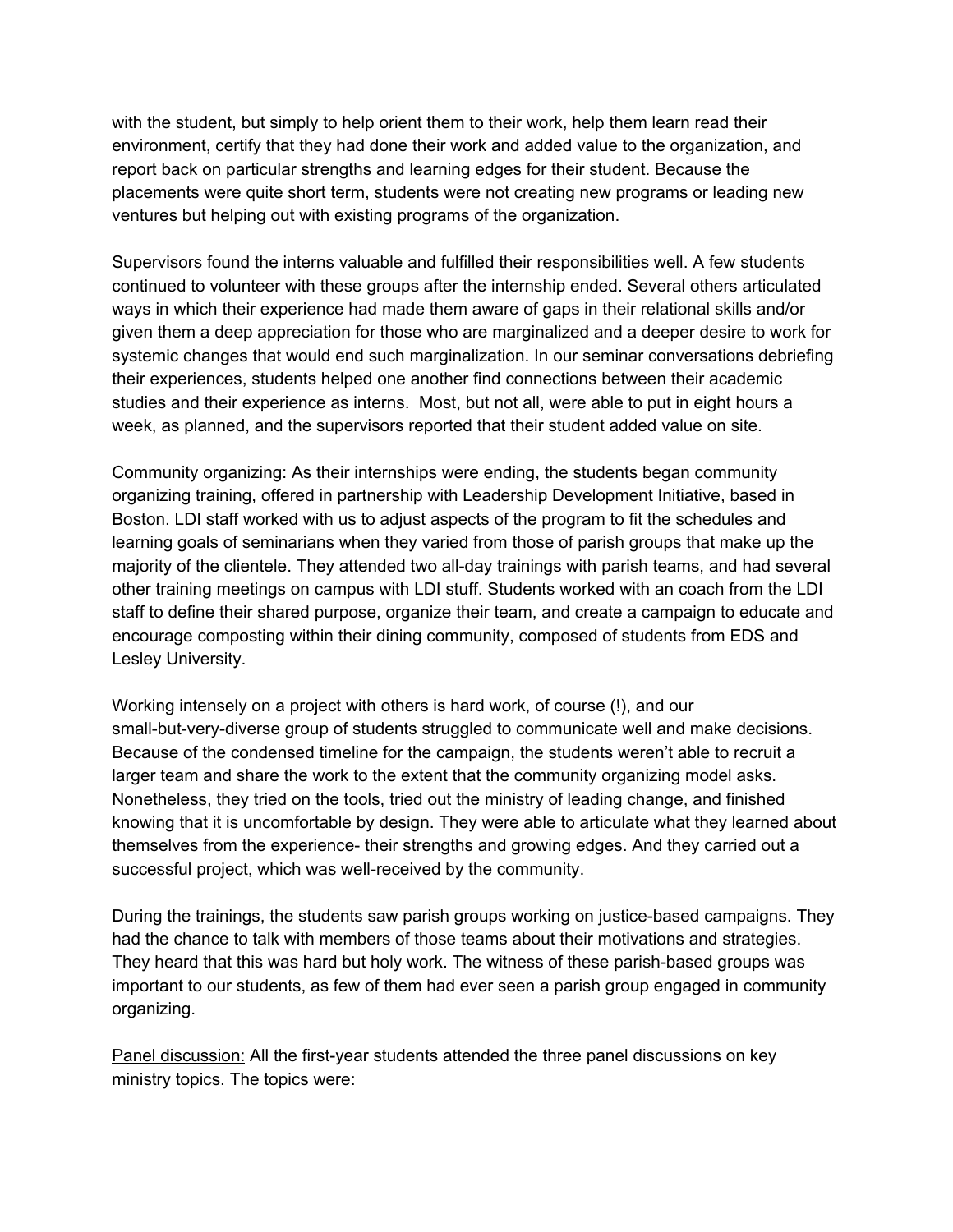with the student, but simply to help orient them to their work, help them learn read their environment, certify that they had done their work and added value to the organization, and report back on particular strengths and learning edges for their student. Because the placements were quite short term, students were not creating new programs or leading new ventures but helping out with existing programs of the organization.

Supervisors found the interns valuable and fulfilled their responsibilities well. A few students continued to volunteer with these groups after the internship ended. Several others articulated ways in which their experience had made them aware of gaps in their relational skills and/or given them a deep appreciation for those who are marginalized and a deeper desire to work for systemic changes that would end such marginalization. In our seminar conversations debriefing their experiences, students helped one another find connections between their academic studies and their experience as interns. Most, but not all, were able to put in eight hours a week, as planned, and the supervisors reported that their student added value on site.

Community organizing: As their internships were ending, the students began community organizing training, offered in partnership with Leadership Development Initiative, based in Boston. LDI staff worked with us to adjust aspects of the program to fit the schedules and learning goals of seminarians when they varied from those of parish groups that make up the majority of the clientele. They attended two all-day trainings with parish teams, and had several other training meetings on campus with LDI stuff. Students worked with an coach from the LDI staff to define their shared purpose, organize their team, and create a campaign to educate and encourage composting within their dining community, composed of students from EDS and Lesley University.

Working intensely on a project with others is hard work, of course (!), and our small-but-very-diverse group of students struggled to communicate well and make decisions. Because of the condensed timeline for the campaign, the students weren't able to recruit a larger team and share the work to the extent that the community organizing model asks. Nonetheless, they tried on the tools, tried out the ministry of leading change, and finished knowing that it is uncomfortable by design. They were able to articulate what they learned about themselves from the experience- their strengths and growing edges. And they carried out a successful project, which was well-received by the community.

During the trainings, the students saw parish groups working on justice-based campaigns. They had the chance to talk with members of those teams about their motivations and strategies. They heard that this was hard but holy work. The witness of these parish-based groups was important to our students, as few of them had ever seen a parish group engaged in community organizing.

Panel discussion: All the first-year students attended the three panel discussions on key ministry topics. The topics were: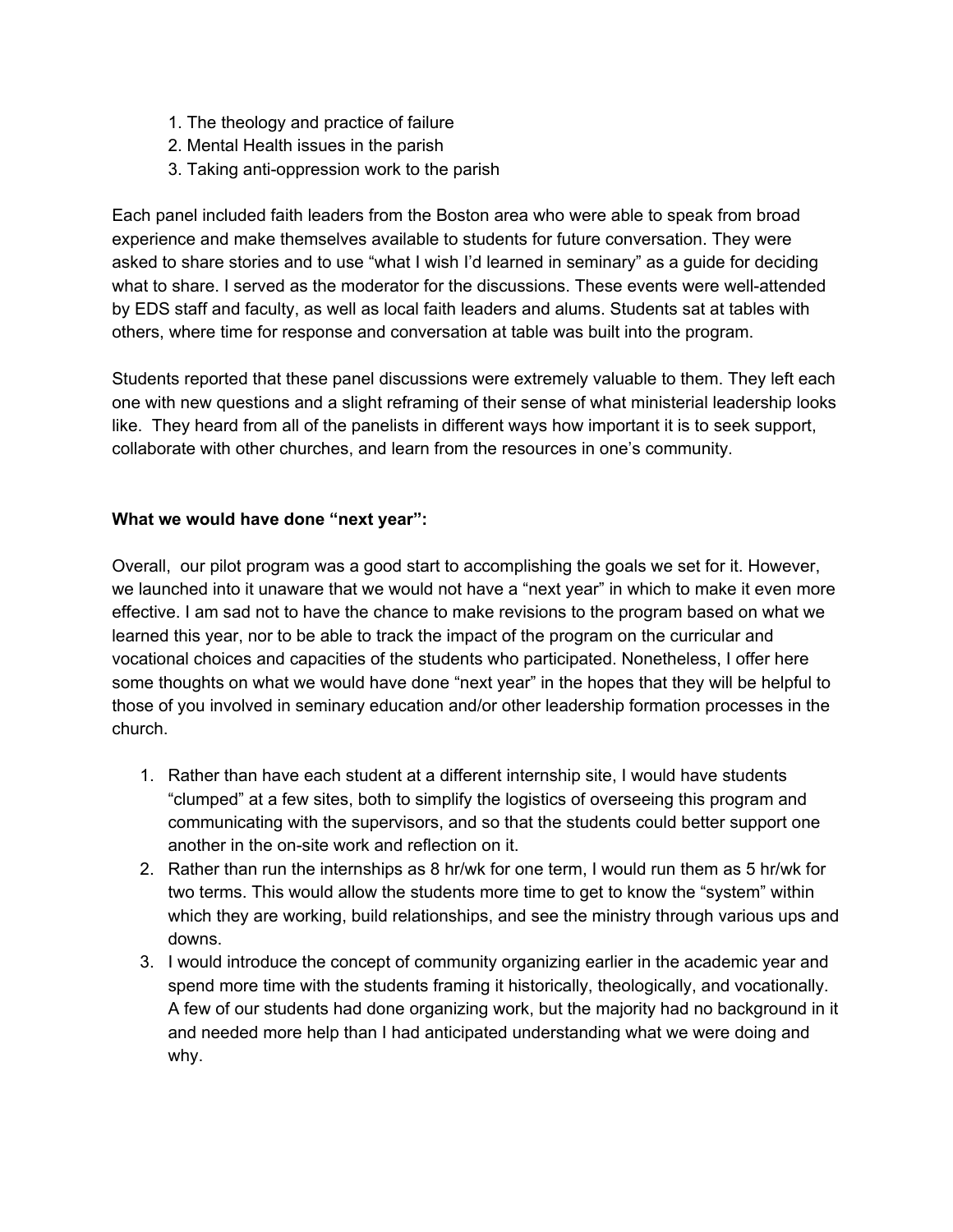- 1. The theology and practice of failure
- 2. Mental Health issues in the parish
- 3. Taking anti-oppression work to the parish

Each panel included faith leaders from the Boston area who were able to speak from broad experience and make themselves available to students for future conversation. They were asked to share stories and to use "what I wish I'd learned in seminary" as a guide for deciding what to share. I served as the moderator for the discussions. These events were well-attended by EDS staff and faculty, as well as local faith leaders and alums. Students sat at tables with others, where time for response and conversation at table was built into the program.

Students reported that these panel discussions were extremely valuable to them. They left each one with new questions and a slight reframing of their sense of what ministerial leadership looks like. They heard from all of the panelists in different ways how important it is to seek support, collaborate with other churches, and learn from the resources in one's community.

#### **What we would have done "next year":**

Overall, our pilot program was a good start to accomplishing the goals we set for it. However, we launched into it unaware that we would not have a "next year" in which to make it even more effective. I am sad not to have the chance to make revisions to the program based on what we learned this year, nor to be able to track the impact of the program on the curricular and vocational choices and capacities of the students who participated. Nonetheless, I offer here some thoughts on what we would have done "next year" in the hopes that they will be helpful to those of you involved in seminary education and/or other leadership formation processes in the church.

- 1. Rather than have each student at a different internship site, I would have students "clumped" at a few sites, both to simplify the logistics of overseeing this program and communicating with the supervisors, and so that the students could better support one another in the on-site work and reflection on it.
- 2. Rather than run the internships as 8 hr/wk for one term, I would run them as 5 hr/wk for two terms. This would allow the students more time to get to know the "system" within which they are working, build relationships, and see the ministry through various ups and downs.
- 3. I would introduce the concept of community organizing earlier in the academic year and spend more time with the students framing it historically, theologically, and vocationally. A few of our students had done organizing work, but the majority had no background in it and needed more help than I had anticipated understanding what we were doing and why.